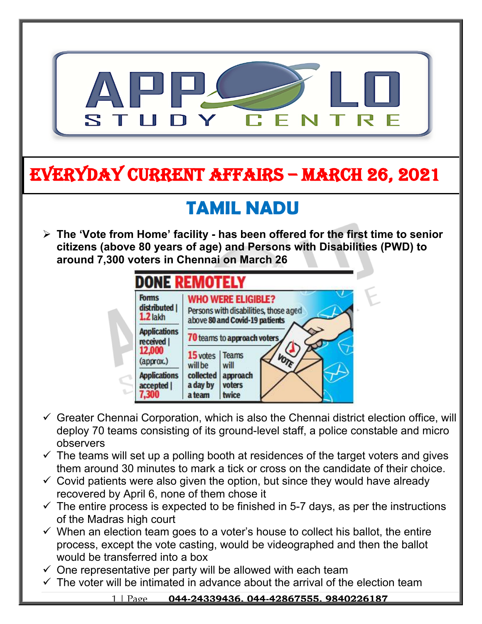

- $\checkmark$  The teams will set up a polling booth at residences of the target voters and gives them around 30 minutes to mark a tick or cross on the candidate of their choice.
- $\checkmark$  Covid patients were also given the option, but since they would have already recovered by April 6, none of them chose it
- $\checkmark$  The entire process is expected to be finished in 5-7 days, as per the instructions of the Madras high court
- $\checkmark$  When an election team goes to a voter's house to collect his ballot, the entire process, except the vote casting, would be videographed and then the ballot would be transferred into a box
- $\checkmark$  One representative per party will be allowed with each team
- $\checkmark$  The voter will be intimated in advance about the arrival of the election team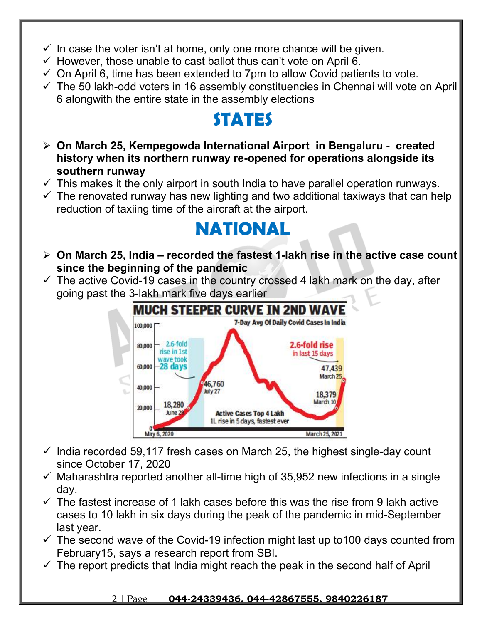- $\checkmark$  In case the voter isn't at home, only one more chance will be given.
- $\checkmark$  However, those unable to cast ballot thus can't vote on April 6.
- $\checkmark$  On April 6, time has been extended to 7pm to allow Covid patients to vote.
- $\checkmark$  The 50 lakh-odd voters in 16 assembly constituencies in Chennai will vote on April 6 alongwith the entire state in the assembly elections

### **STATES**

- **On March 25, Kempegowda International Airport in Bengaluru created history when its northern runway re-opened for operations alongside its southern runway**
- $\checkmark$  This makes it the only airport in south India to have parallel operation runways.
- $\checkmark$  The renovated runway has new lighting and two additional taxiways that can help reduction of taxiing time of the aircraft at the airport.

### **NATIONAL**

- **On March 25, India recorded the fastest 1-lakh rise in the active case count since the beginning of the pandemic**
- $\checkmark$  The active Covid-19 cases in the country crossed 4 lakh mark on the day, after going past the 3-lakh mark five days earlier



- $\checkmark$  India recorded 59,117 fresh cases on March 25, the highest single-day count since October 17, 2020
- $\checkmark$  Maharashtra reported another all-time high of 35,952 new infections in a single day.
- $\checkmark$  The fastest increase of 1 lakh cases before this was the rise from 9 lakh active cases to 10 lakh in six days during the peak of the pandemic in mid-September last year.
- $\checkmark$  The second wave of the Covid-19 infection might last up to 100 days counted from February15, says a research report from SBI.
- $\checkmark$  The report predicts that India might reach the peak in the second half of April

### 2 | Page **044-24339436, 044-42867555, 9840226187**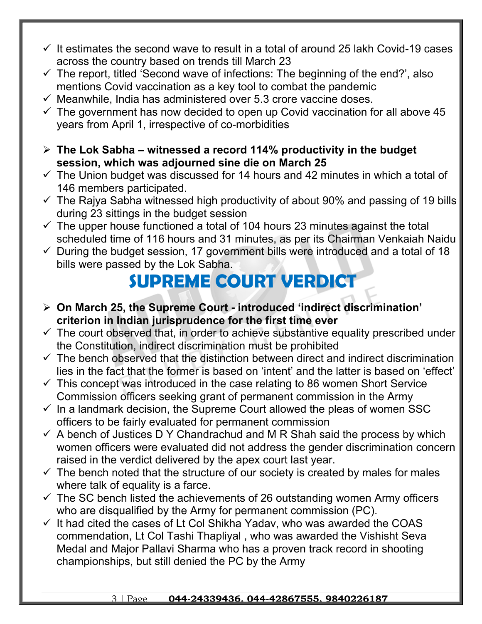- $\checkmark$  It estimates the second wave to result in a total of around 25 lakh Covid-19 cases across the country based on trends till March 23
- $\checkmark$  The report, titled 'Second wave of infections: The beginning of the end?', also mentions Covid vaccination as a key tool to combat the pandemic
- $\checkmark$  Meanwhile, India has administered over 5.3 crore vaccine doses.
- $\checkmark$  The government has now decided to open up Covid vaccination for all above 45 years from April 1, irrespective of co-morbidities
- **The Lok Sabha witnessed a record 114% productivity in the budget session, which was adjourned sine die on March 25**
- $\checkmark$  The Union budget was discussed for 14 hours and 42 minutes in which a total of 146 members participated.
- $\checkmark$  The Rajya Sabha witnessed high productivity of about 90% and passing of 19 bills during 23 sittings in the budget session
- $\checkmark$  The upper house functioned a total of 104 hours 23 minutes against the total scheduled time of 116 hours and 31 minutes, as per its Chairman Venkaiah Naidu
- $\checkmark$  During the budget session, 17 government bills were introduced and a total of 18 bills were passed by the Lok Sabha.

## **SUPREME COURT VERDICT**

- **On March 25, the Supreme Court introduced 'indirect discrimination' criterion in Indian jurisprudence for the first time ever**
- $\checkmark$  The court observed that, in order to achieve substantive equality prescribed under the Constitution, indirect discrimination must be prohibited
- $\checkmark$  The bench observed that the distinction between direct and indirect discrimination lies in the fact that the former is based on 'intent' and the latter is based on 'effect'
- $\checkmark$  This concept was introduced in the case relating to 86 women Short Service Commission officers seeking grant of permanent commission in the Army
- $\checkmark$  In a landmark decision, the Supreme Court allowed the pleas of women SSC officers to be fairly evaluated for permanent commission
- $\checkmark$  A bench of Justices D Y Chandrachud and M R Shah said the process by which women officers were evaluated did not address the gender discrimination concern raised in the verdict delivered by the apex court last year.
- $\checkmark$  The bench noted that the structure of our society is created by males for males where talk of equality is a farce.
- $\checkmark$  The SC bench listed the achievements of 26 outstanding women Army officers who are disqualified by the Army for permanent commission (PC).
- $\checkmark$  It had cited the cases of Lt Col Shikha Yadav, who was awarded the COAS commendation, Lt Col Tashi Thapliyal , who was awarded the Vishisht Seva Medal and Major Pallavi Sharma who has a proven track record in shooting championships, but still denied the PC by the Army

#### 3 | Page **044-24339436, 044-42867555, 9840226187**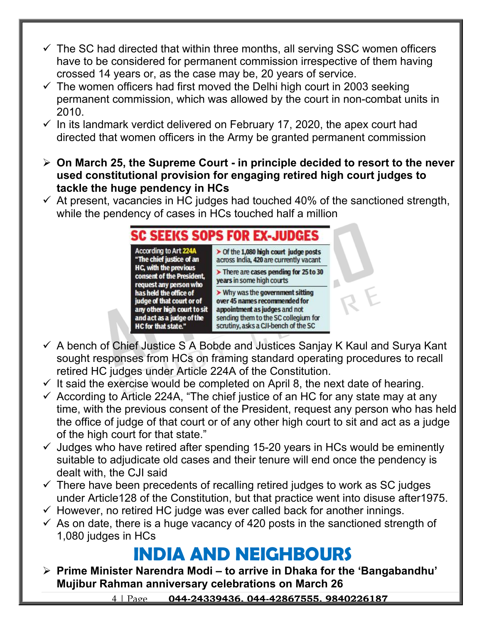- $\checkmark$  The SC had directed that within three months, all serving SSC women officers have to be considered for permanent commission irrespective of them having crossed 14 years or, as the case may be, 20 years of service.
- $\checkmark$  The women officers had first moved the Delhi high court in 2003 seeking permanent commission, which was allowed by the court in non-combat units in 2010.
- $\checkmark$  In its landmark verdict delivered on February 17, 2020, the apex court had directed that women officers in the Army be granted permanent commission
- **On March 25, the Supreme Court in principle decided to resort to the never used constitutional provision for engaging retired high court judges to tackle the huge pendency in HCs**
- $\checkmark$  At present, vacancies in HC judges had touched 40% of the sanctioned strength, while the pendency of cases in HCs touched half a million

#### **SC SEEKS SOPS FOR EX-**According to Art 224A  $\triangleright$  Of the 1,080 high court judge posts "The chief justice of an across India, 420 are currently vacant **HC, with the previous**  $\triangleright$  There are cases pending for 25 to 30 consent of the President, years in some high courts request any person who > Why was the government sitting has held the office of judge of that court or of over 45 names recommended for any other high court to sit appointment as judges and not and act as a judge of the sending them to the SC collegium for scrutiny, asks a CJI-bench of the SC **HC for that state."**

- $\checkmark$  A bench of Chief Justice S A Bobde and Justices Sanjay K Kaul and Surya Kant sought responses from HCs on framing standard operating procedures to recall retired HC judges under Article 224A of the Constitution.
- $\checkmark$  It said the exercise would be completed on April 8, the next date of hearing.
- $\checkmark$  According to Article 224A, "The chief justice of an HC for any state may at any time, with the previous consent of the President, request any person who has held the office of judge of that court or of any other high court to sit and act as a judge of the high court for that state."
- $\checkmark$  Judges who have retired after spending 15-20 years in HCs would be eminently suitable to adjudicate old cases and their tenure will end once the pendency is dealt with, the CJI said
- $\checkmark$  There have been precedents of recalling retired judges to work as SC judges under Article128 of the Constitution, but that practice went into disuse after1975.
- $\checkmark$  However, no retired HC judge was ever called back for another innings.
- $\checkmark$  As on date, there is a huge vacancy of 420 posts in the sanctioned strength of 1,080 judges in HCs

# **INDIA AND NEIGHBOURS**

 **Prime Minister Narendra Modi – to arrive in Dhaka for the 'Bangabandhu' Mujibur Rahman anniversary celebrations on March 26**